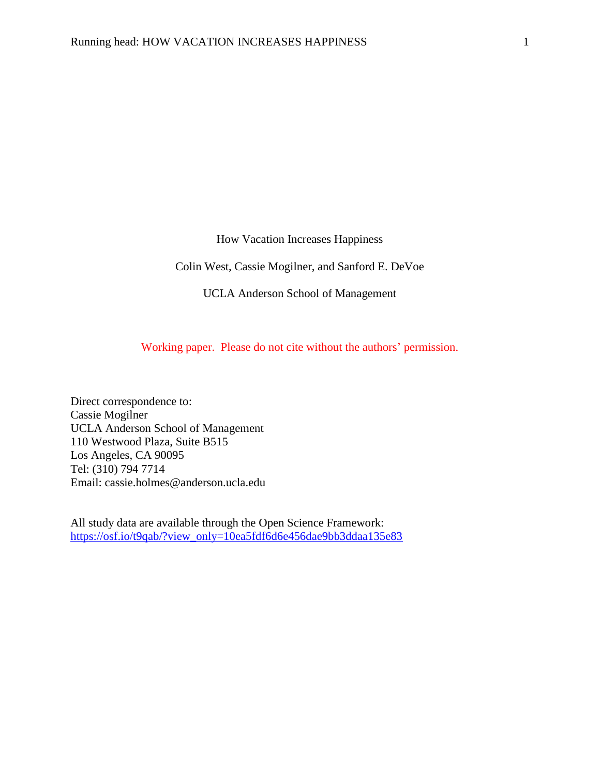How Vacation Increases Happiness

Colin West, Cassie Mogilner, and Sanford E. DeVoe

UCLA Anderson School of Management

Working paper. Please do not cite without the authors' permission.

Direct correspondence to: Cassie Mogilner UCLA Anderson School of Management 110 Westwood Plaza, Suite B515 Los Angeles, CA 90095 Tel: (310) 794 7714 Email: cassie.holmes@anderson.ucla.edu

All study data are available through the Open Science Framework: [https://osf.io/t9qab/?view\\_only=10ea5fdf6d6e456dae9bb3ddaa135e83](https://osf.io/t9qab/?view_only=10ea5fdf6d6e456dae9bb3ddaa135e83)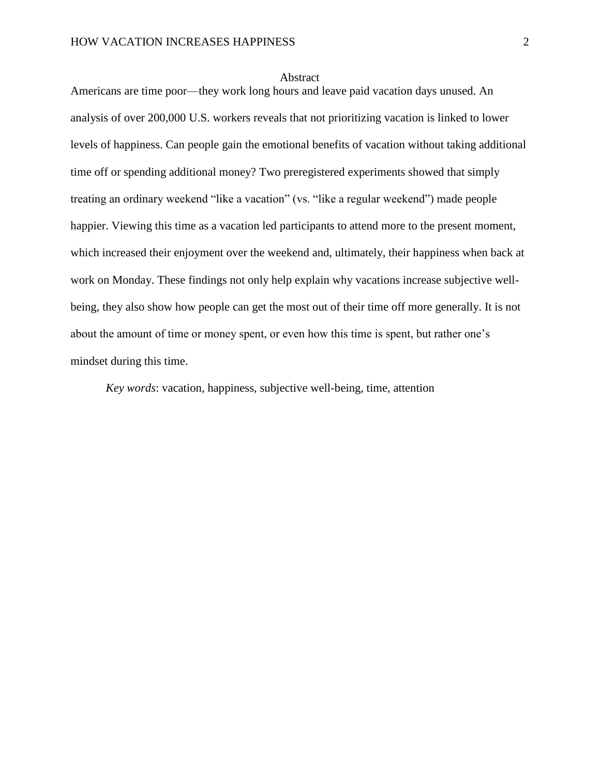#### Abstract

Americans are time poor—they work long hours and leave paid vacation days unused. An analysis of over 200,000 U.S. workers reveals that not prioritizing vacation is linked to lower levels of happiness. Can people gain the emotional benefits of vacation without taking additional time off or spending additional money? Two preregistered experiments showed that simply treating an ordinary weekend "like a vacation" (vs. "like a regular weekend") made people happier. Viewing this time as a vacation led participants to attend more to the present moment, which increased their enjoyment over the weekend and, ultimately, their happiness when back at work on Monday. These findings not only help explain why vacations increase subjective wellbeing, they also show how people can get the most out of their time off more generally. It is not about the amount of time or money spent, or even how this time is spent, but rather one's mindset during this time.

*Key words*: vacation, happiness, subjective well-being, time, attention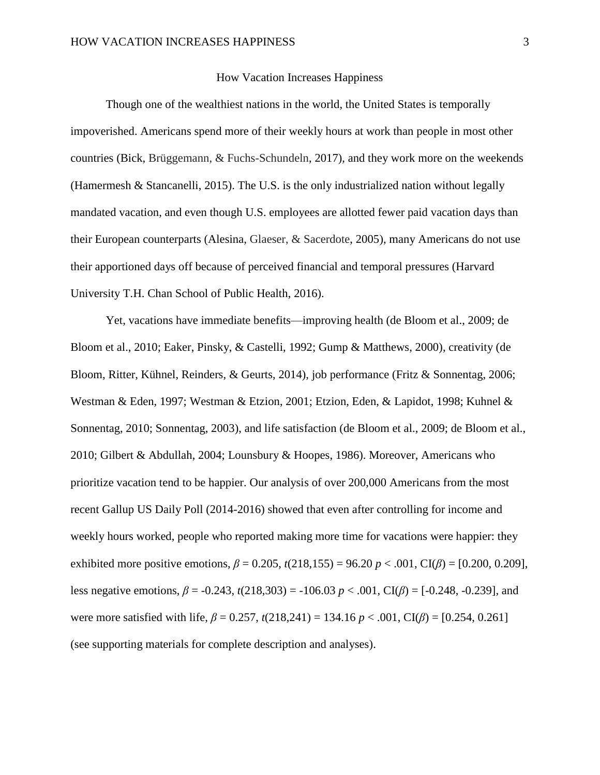### How Vacation Increases Happiness

Though one of the wealthiest nations in the world, the United States is temporally impoverished. Americans spend more of their weekly hours at work than people in most other countries (Bick, Brüggemann, & Fuchs-Schundeln, 2017), and they work more on the weekends (Hamermesh & Stancanelli, 2015). The U.S. is the only industrialized nation without legally mandated vacation, and even though U.S. employees are allotted fewer paid vacation days than their European counterparts (Alesina, Glaeser, & Sacerdote, 2005), many Americans do not use their apportioned days off because of perceived financial and temporal pressures (Harvard University T.H. Chan School of Public Health, 2016).

Yet, vacations have immediate benefits—improving health (de Bloom et al., 2009; de Bloom et al., 2010; Eaker, Pinsky, & Castelli, 1992; Gump & Matthews, 2000), creativity (de Bloom, Ritter, Kühnel, Reinders, & Geurts, 2014), job performance (Fritz & Sonnentag, 2006; Westman & Eden, 1997; Westman & Etzion, 2001; Etzion, Eden, & Lapidot, 1998; Kuhnel & Sonnentag, 2010; Sonnentag, 2003), and life satisfaction (de Bloom et al., 2009; de Bloom et al., 2010; Gilbert & Abdullah, 2004; Lounsbury & Hoopes, 1986). Moreover, Americans who prioritize vacation tend to be happier. Our analysis of over 200,000 Americans from the most recent Gallup US Daily Poll (2014-2016) showed that even after controlling for income and weekly hours worked, people who reported making more time for vacations were happier: they exhibited more positive emotions,  $β = 0.205$ ,  $t(218,155) = 96.20 p < .001$ , CI( $β$ ) = [0.200, 0.209], less negative emotions, *β* = -0.243, *t*(218,303) = -106.03 *p* < .001, CI(*β*) = [-0.248, -0.239], and were more satisfied with life, *β* = 0.257, *t*(218,241) = 134.16 *p* < .001, CI(*β*) = [0.254, 0.261] (see supporting materials for complete description and analyses).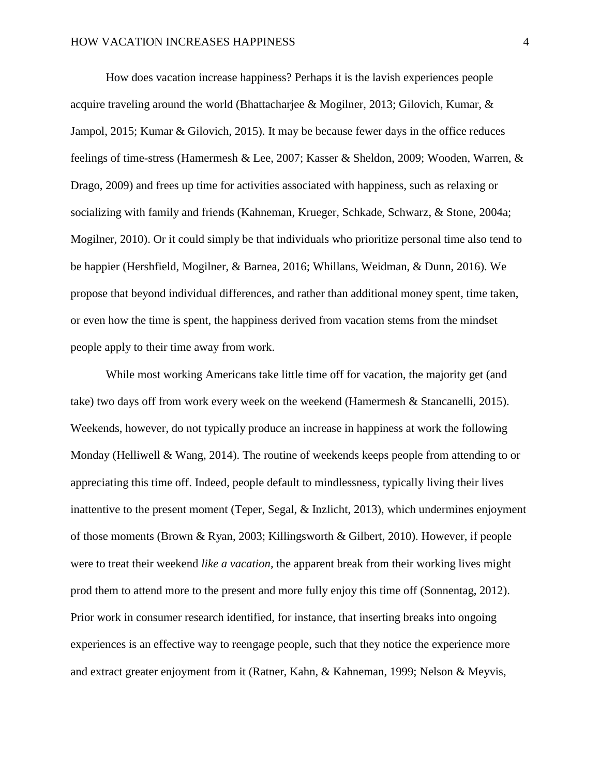How does vacation increase happiness? Perhaps it is the lavish experiences people acquire traveling around the world (Bhattacharjee & Mogilner, 2013; Gilovich, Kumar, & Jampol, 2015; Kumar & Gilovich, 2015). It may be because fewer days in the office reduces feelings of time-stress (Hamermesh & Lee, 2007; Kasser & Sheldon, 2009; Wooden, Warren, & Drago, 2009) and frees up time for activities associated with happiness, such as relaxing or socializing with family and friends (Kahneman, Krueger, Schkade, Schwarz, & Stone, 2004a; Mogilner, 2010). Or it could simply be that individuals who prioritize personal time also tend to be happier (Hershfield, Mogilner, & Barnea, 2016; Whillans, Weidman, & Dunn, 2016). We propose that beyond individual differences, and rather than additional money spent, time taken, or even how the time is spent, the happiness derived from vacation stems from the mindset people apply to their time away from work.

While most working Americans take little time off for vacation, the majority get (and take) two days off from work every week on the weekend (Hamermesh & Stancanelli, 2015). Weekends, however, do not typically produce an increase in happiness at work the following Monday (Helliwell  $\&$  Wang, 2014). The routine of weekends keeps people from attending to or appreciating this time off. Indeed, people default to mindlessness, typically living their lives inattentive to the present moment (Teper, Segal, & Inzlicht, 2013), which undermines enjoyment of those moments (Brown & Ryan, 2003; Killingsworth & Gilbert, 2010). However, if people were to treat their weekend *like a vacation,* the apparent break from their working lives might prod them to attend more to the present and more fully enjoy this time off (Sonnentag, 2012). Prior work in consumer research identified, for instance, that inserting breaks into ongoing experiences is an effective way to reengage people, such that they notice the experience more and extract greater enjoyment from it (Ratner, Kahn, & Kahneman, 1999; Nelson & Meyvis,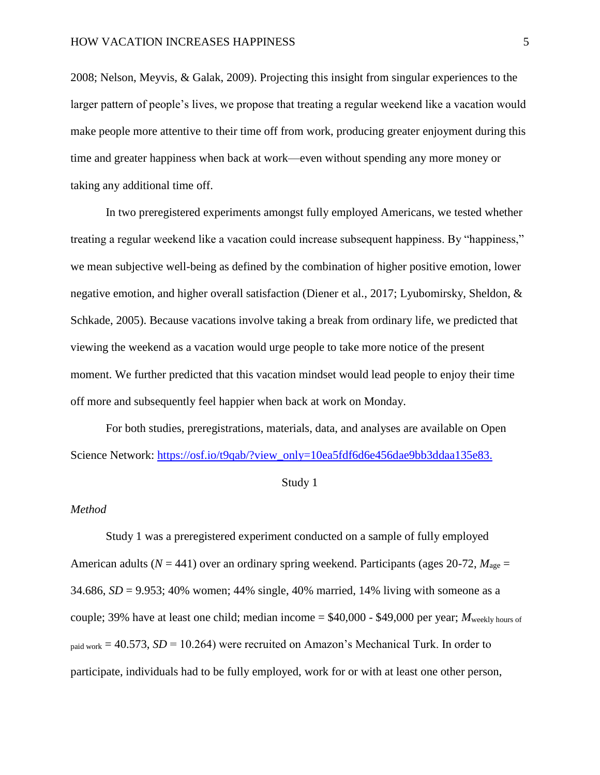2008; Nelson, Meyvis, & Galak, 2009). Projecting this insight from singular experiences to the larger pattern of people's lives, we propose that treating a regular weekend like a vacation would make people more attentive to their time off from work, producing greater enjoyment during this time and greater happiness when back at work—even without spending any more money or taking any additional time off.

In two preregistered experiments amongst fully employed Americans, we tested whether treating a regular weekend like a vacation could increase subsequent happiness. By "happiness," we mean subjective well-being as defined by the combination of higher positive emotion, lower negative emotion, and higher overall satisfaction (Diener et al., 2017; Lyubomirsky, Sheldon, & Schkade, 2005). Because vacations involve taking a break from ordinary life, we predicted that viewing the weekend as a vacation would urge people to take more notice of the present moment. We further predicted that this vacation mindset would lead people to enjoy their time off more and subsequently feel happier when back at work on Monday.

For both studies, preregistrations, materials, data, and analyses are available on Open Science Network: [https://osf.io/t9qab/?view\\_only=10ea5fdf6d6e456dae9bb3ddaa135e83.](https://osf.io/t9qab/?view_only=10ea5fdf6d6e456dae9bb3ddaa135e83)

#### Study 1

#### *Method*

Study 1 was a preregistered experiment conducted on a sample of fully employed American adults ( $N = 441$ ) over an ordinary spring weekend. Participants (ages 20-72,  $M_{\text{age}} =$ 34.686,  $SD = 9.953$ ; 40% women; 44% single, 40% married, 14% living with someone as a couple; 39% have at least one child; median income  $= $40,000$  - \$49,000 per year; *M*<sub>weekly hours of</sub>  $_{\text{paid work}}$  = 40.573, *SD* = 10.264) were recruited on Amazon's Mechanical Turk. In order to participate, individuals had to be fully employed, work for or with at least one other person,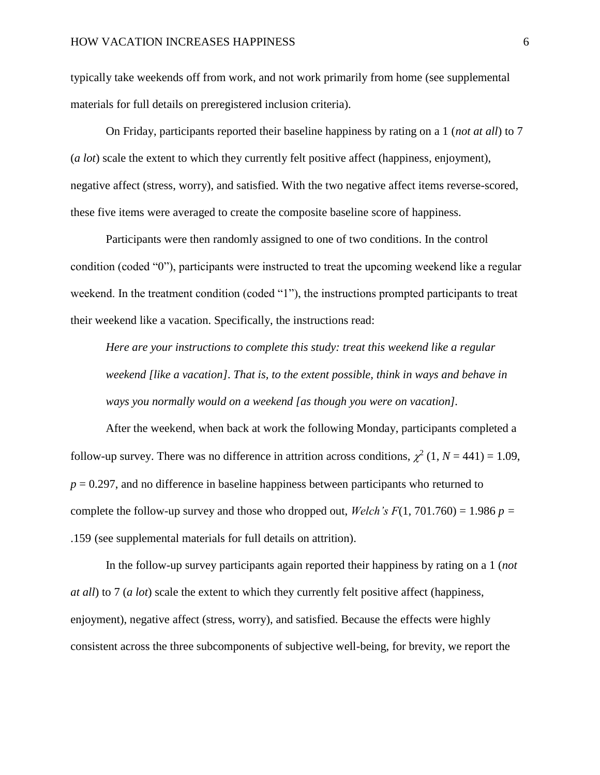typically take weekends off from work, and not work primarily from home (see supplemental materials for full details on preregistered inclusion criteria).

On Friday, participants reported their baseline happiness by rating on a 1 (*not at all*) to 7 (*a lot*) scale the extent to which they currently felt positive affect (happiness, enjoyment), negative affect (stress, worry), and satisfied. With the two negative affect items reverse-scored, these five items were averaged to create the composite baseline score of happiness.

Participants were then randomly assigned to one of two conditions. In the control condition (coded "0"), participants were instructed to treat the upcoming weekend like a regular weekend. In the treatment condition (coded "1"), the instructions prompted participants to treat their weekend like a vacation. Specifically, the instructions read:

*Here are your instructions to complete this study: treat this weekend like a regular weekend [like a vacation]. That is, to the extent possible, think in ways and behave in ways you normally would on a weekend [as though you were on vacation].* 

After the weekend, when back at work the following Monday, participants completed a follow-up survey. There was no difference in attrition across conditions,  $\chi^2$  (1, *N* = 441) = 1.09,  $p = 0.297$ , and no difference in baseline happiness between participants who returned to complete the follow-up survey and those who dropped out, *Welch's F*(1, 701.760) = 1.986  $p =$ .159 (see supplemental materials for full details on attrition).

In the follow-up survey participants again reported their happiness by rating on a 1 (*not at all*) to 7 (*a lot*) scale the extent to which they currently felt positive affect (happiness, enjoyment), negative affect (stress, worry), and satisfied. Because the effects were highly consistent across the three subcomponents of subjective well-being, for brevity, we report the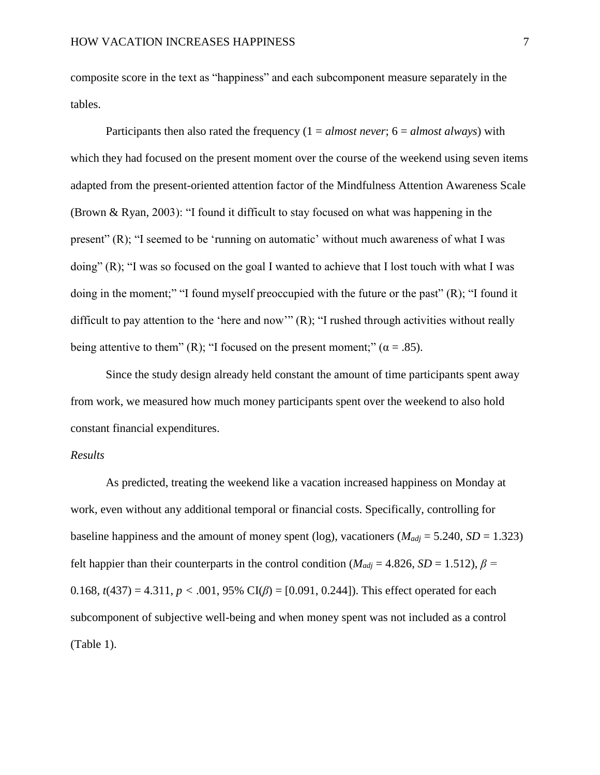composite score in the text as "happiness" and each subcomponent measure separately in the tables.

Participants then also rated the frequency (1 = *almost never*; 6 = *almost always*) with which they had focused on the present moment over the course of the weekend using seven items adapted from the present-oriented attention factor of the Mindfulness Attention Awareness Scale (Brown & Ryan, 2003): "I found it difficult to stay focused on what was happening in the present" (R); "I seemed to be 'running on automatic' without much awareness of what I was doing" (R); "I was so focused on the goal I wanted to achieve that I lost touch with what I was doing in the moment;" "I found myself preoccupied with the future or the past" (R); "I found it difficult to pay attention to the 'here and now'" (R); "I rushed through activities without really being attentive to them" (R); "I focused on the present moment;" ( $\alpha = .85$ ).

Since the study design already held constant the amount of time participants spent away from work, we measured how much money participants spent over the weekend to also hold constant financial expenditures.

### *Results*

As predicted, treating the weekend like a vacation increased happiness on Monday at work, even without any additional temporal or financial costs. Specifically, controlling for baseline happiness and the amount of money spent (log), vacationers ( $M_{adj} = 5.240$ ,  $SD = 1.323$ ) felt happier than their counterparts in the control condition ( $M_{adi}$  = 4.826, *SD* = 1.512),  $\beta$  = 0.168,  $t(437) = 4.311$ ,  $p < .001$ , 95% CI( $\beta$ ) = [0.091, 0.244]). This effect operated for each subcomponent of subjective well-being and when money spent was not included as a control (Table 1).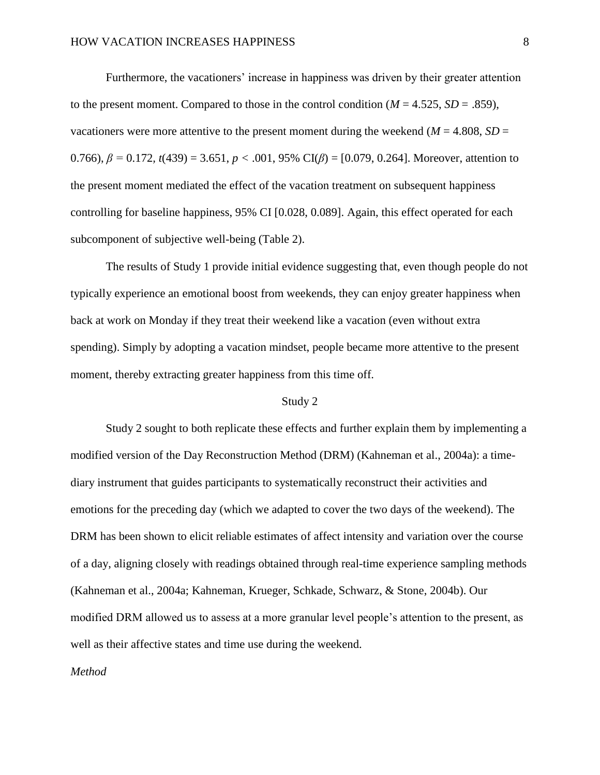Furthermore, the vacationers' increase in happiness was driven by their greater attention to the present moment. Compared to those in the control condition  $(M = 4.525, SD = .859)$ , vacationers were more attentive to the present moment during the weekend ( $M = 4.808$ ,  $SD =$ 0.766), *β =* 0.172*, t*(439) = 3.651, *p <* .001, 95% CI(*β*) = [0.079, 0.264]. Moreover, attention to the present moment mediated the effect of the vacation treatment on subsequent happiness controlling for baseline happiness, 95% CI [0.028, 0.089]. Again, this effect operated for each subcomponent of subjective well-being (Table 2).

The results of Study 1 provide initial evidence suggesting that, even though people do not typically experience an emotional boost from weekends, they can enjoy greater happiness when back at work on Monday if they treat their weekend like a vacation (even without extra spending). Simply by adopting a vacation mindset, people became more attentive to the present moment, thereby extracting greater happiness from this time off.

### Study 2

Study 2 sought to both replicate these effects and further explain them by implementing a modified version of the Day Reconstruction Method (DRM) (Kahneman et al., 2004a): a timediary instrument that guides participants to systematically reconstruct their activities and emotions for the preceding day (which we adapted to cover the two days of the weekend). The DRM has been shown to elicit reliable estimates of affect intensity and variation over the course of a day, aligning closely with readings obtained through real-time experience sampling methods (Kahneman et al., 2004a; Kahneman, Krueger, Schkade, Schwarz, & Stone, 2004b). Our modified DRM allowed us to assess at a more granular level people's attention to the present, as well as their affective states and time use during the weekend.

### *Method*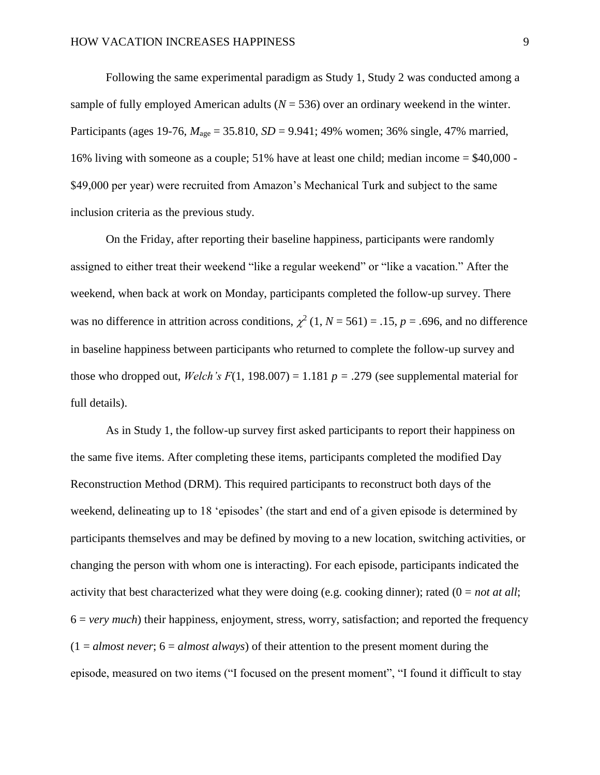Following the same experimental paradigm as Study 1, Study 2 was conducted among a sample of fully employed American adults  $(N = 536)$  over an ordinary weekend in the winter. Participants (ages 19-76,  $M_{\text{age}} = 35.810$ ,  $SD = 9.941$ ; 49% women; 36% single, 47% married, 16% living with someone as a couple; 51% have at least one child; median income = \$40,000 - \$49,000 per year) were recruited from Amazon's Mechanical Turk and subject to the same inclusion criteria as the previous study.

On the Friday, after reporting their baseline happiness, participants were randomly assigned to either treat their weekend "like a regular weekend" or "like a vacation." After the weekend, when back at work on Monday, participants completed the follow-up survey. There was no difference in attrition across conditions,  $\chi^2$  (1, *N* = 561) = .15, *p* = .696, and no difference in baseline happiness between participants who returned to complete the follow-up survey and those who dropped out, *Welch's F*(1, 198.007) = 1.181  $p = .279$  (see supplemental material for full details).

As in Study 1, the follow-up survey first asked participants to report their happiness on the same five items. After completing these items, participants completed the modified Day Reconstruction Method (DRM). This required participants to reconstruct both days of the weekend, delineating up to 18 'episodes' (the start and end of a given episode is determined by participants themselves and may be defined by moving to a new location, switching activities, or changing the person with whom one is interacting). For each episode, participants indicated the activity that best characterized what they were doing (e.g. cooking dinner); rated (0 = *not at all*; 6 = *very much*) their happiness, enjoyment, stress, worry, satisfaction; and reported the frequency  $(1 = almost never; 6 = almost always)$  of their attention to the present moment during the episode, measured on two items ("I focused on the present moment", "I found it difficult to stay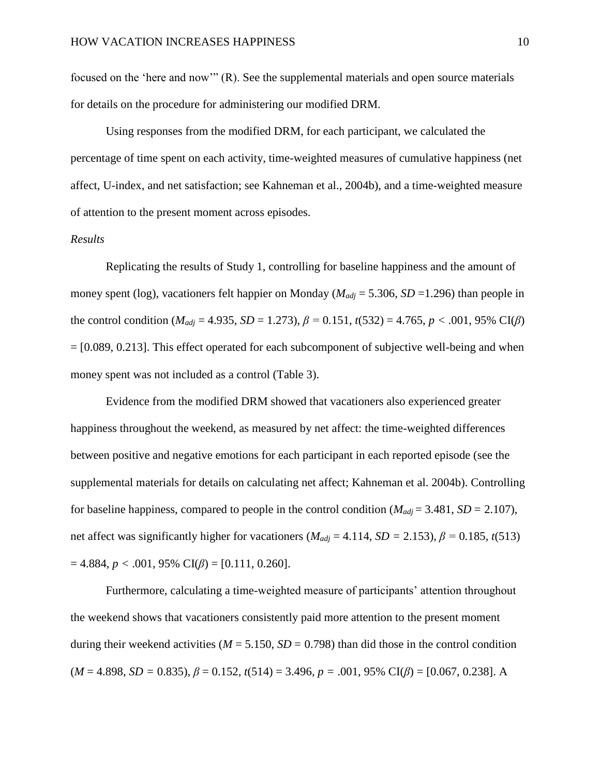focused on the 'here and now'" (R). See the supplemental materials and open source materials for details on the procedure for administering our modified DRM.

Using responses from the modified DRM, for each participant, we calculated the percentage of time spent on each activity, time-weighted measures of cumulative happiness (net affect, U-index, and net satisfaction; see Kahneman et al., 2004b), and a time-weighted measure of attention to the present moment across episodes.

### *Results*

Replicating the results of Study 1, controlling for baseline happiness and the amount of money spent (log), vacationers felt happier on Monday (*Madj* = 5.306, *SD* =1.296) than people in the control condition ( $M_{adj} = 4.935$ ,  $SD = 1.273$ ),  $\beta = 0.151$ ,  $t(532) = 4.765$ ,  $p < .001$ , 95% CI( $\beta$ ) = [0.089, 0.213]. This effect operated for each subcomponent of subjective well-being and when money spent was not included as a control (Table 3).

Evidence from the modified DRM showed that vacationers also experienced greater happiness throughout the weekend, as measured by net affect: the time-weighted differences between positive and negative emotions for each participant in each reported episode (see the supplemental materials for details on calculating net affect; Kahneman et al. 2004b). Controlling for baseline happiness, compared to people in the control condition ( $M_{adj} = 3.481$ ,  $SD = 2.107$ ), net affect was significantly higher for vacationers ( $M_{adj} = 4.114$ ,  $SD = 2.153$ ),  $\beta = 0.185$ ,  $t(513)$  $= 4.884, p < .001, 95\% \text{ CI}(\beta) = [0.111, 0.260].$ 

Furthermore, calculating a time-weighted measure of participants' attention throughout the weekend shows that vacationers consistently paid more attention to the present moment during their weekend activities ( $M = 5.150$ ,  $SD = 0.798$ ) than did those in the control condition  $(M = 4.898, SD = 0.835), \beta = 0.152, t(514) = 3.496, p = .001, 95\% \text{ CI}(\beta) = [0.067, 0.238].$  A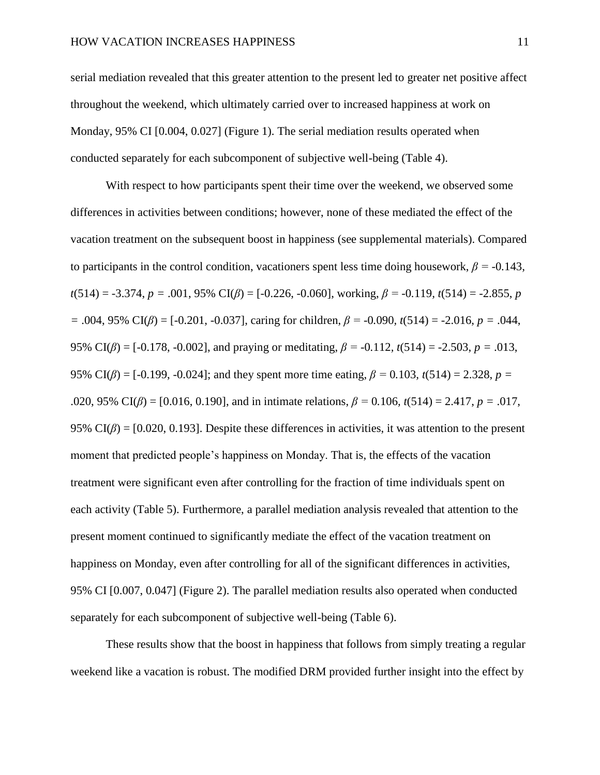serial mediation revealed that this greater attention to the present led to greater net positive affect throughout the weekend, which ultimately carried over to increased happiness at work on Monday, 95% CI [0.004, 0.027] (Figure 1). The serial mediation results operated when conducted separately for each subcomponent of subjective well-being (Table 4).

With respect to how participants spent their time over the weekend, we observed some differences in activities between conditions; however, none of these mediated the effect of the vacation treatment on the subsequent boost in happiness (see supplemental materials). Compared to participants in the control condition, vacationers spent less time doing housework,  $\beta$  = -0.143*,*  $t(514) = -3.374$ ,  $p = .001$ , 95% CI( $\beta$ ) = [-0.226, -0.060], working,  $\beta$  = -0.119,  $t(514)$  = -2.855, *p =* .004, 95% CI(*β*) = [-0.201, -0.037], caring for children, *β = -*0*.*090*, t*(514) = -2.016, *p =* .044, 95% CI(*β*) = [-0.178, -0.002], and praying or meditating, *β = -*0*.*112*, t*(514) = -2.503, *p =* .013, 95% CI(*β*) = [-0.199, -0.024]; and they spent more time eating, *β =* 0*.*103*, t*(514) = 2.328, *p =*  .020, 95% CI(*β*) = [0.016, 0.190], and in intimate relations, *β =* 0*.*106*, t*(514) = 2.417, *p =* .017, 95% CI( $\beta$ ) = [0.020, 0.193]. Despite these differences in activities, it was attention to the present moment that predicted people's happiness on Monday. That is, the effects of the vacation treatment were significant even after controlling for the fraction of time individuals spent on each activity (Table 5). Furthermore, a parallel mediation analysis revealed that attention to the present moment continued to significantly mediate the effect of the vacation treatment on happiness on Monday, even after controlling for all of the significant differences in activities, 95% CI [0.007, 0.047] (Figure 2). The parallel mediation results also operated when conducted separately for each subcomponent of subjective well-being (Table 6).

These results show that the boost in happiness that follows from simply treating a regular weekend like a vacation is robust. The modified DRM provided further insight into the effect by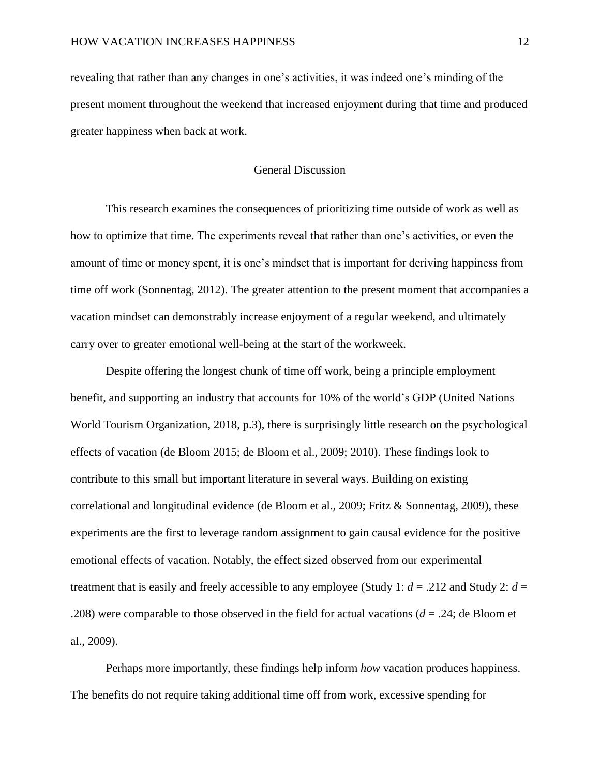revealing that rather than any changes in one's activities, it was indeed one's minding of the present moment throughout the weekend that increased enjoyment during that time and produced greater happiness when back at work.

## General Discussion

This research examines the consequences of prioritizing time outside of work as well as how to optimize that time. The experiments reveal that rather than one's activities, or even the amount of time or money spent, it is one's mindset that is important for deriving happiness from time off work (Sonnentag, 2012). The greater attention to the present moment that accompanies a vacation mindset can demonstrably increase enjoyment of a regular weekend, and ultimately carry over to greater emotional well-being at the start of the workweek.

Despite offering the longest chunk of time off work, being a principle employment benefit, and supporting an industry that accounts for 10% of the world's GDP (United Nations World Tourism Organization, 2018, p.3), there is surprisingly little research on the psychological effects of vacation (de Bloom 2015; de Bloom et al., 2009; 2010). These findings look to contribute to this small but important literature in several ways. Building on existing correlational and longitudinal evidence (de Bloom et al., 2009; Fritz & Sonnentag, 2009), these experiments are the first to leverage random assignment to gain causal evidence for the positive emotional effects of vacation. Notably, the effect sized observed from our experimental treatment that is easily and freely accessible to any employee (Study 1:  $d = .212$  and Study 2:  $d =$ .208) were comparable to those observed in the field for actual vacations (*d* = .24; de Bloom et al., 2009).

Perhaps more importantly, these findings help inform *how* vacation produces happiness. The benefits do not require taking additional time off from work, excessive spending for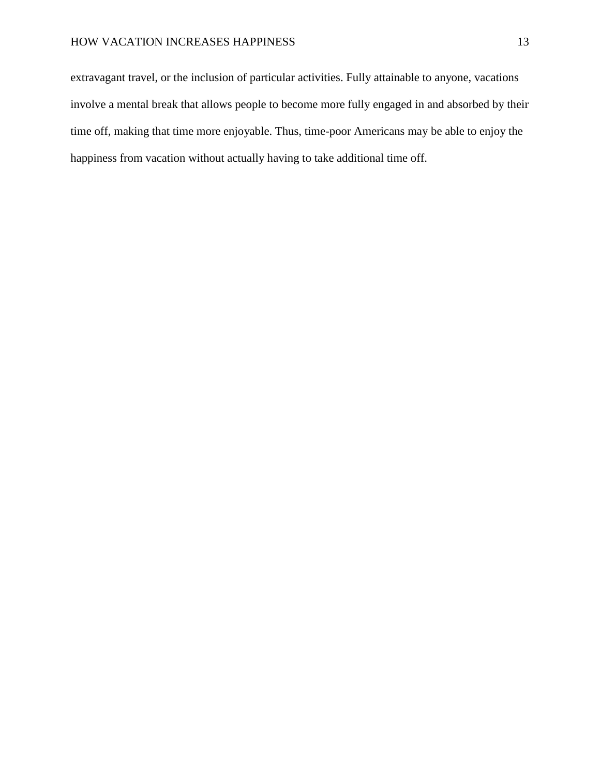extravagant travel, or the inclusion of particular activities. Fully attainable to anyone, vacations involve a mental break that allows people to become more fully engaged in and absorbed by their time off, making that time more enjoyable. Thus, time-poor Americans may be able to enjoy the happiness from vacation without actually having to take additional time off.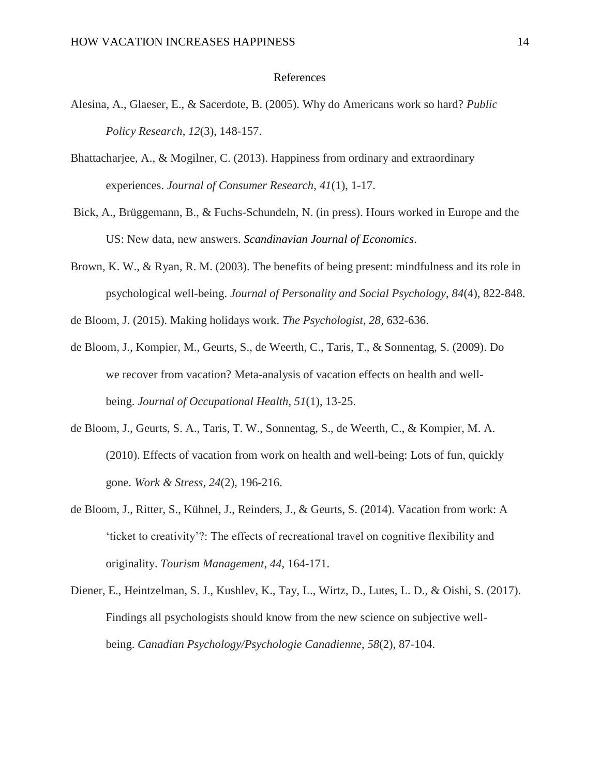### References

- Alesina, A., Glaeser, E., & Sacerdote, B. (2005). Why do Americans work so hard? *Public Policy Research*, *12*(3), 148-157.
- Bhattacharjee, A., & Mogilner, C. (2013). Happiness from ordinary and extraordinary experiences. *Journal of Consumer Research*, *41*(1), 1-17.
- Bick, A., Brüggemann, B., & Fuchs-Schundeln, N. (in press). Hours worked in Europe and the US: New data, new answers. *Scandinavian Journal of Economics*.
- Brown, K. W., & Ryan, R. M. (2003). The benefits of being present: mindfulness and its role in psychological well-being. *Journal of Personality and Social Psychology*, *84*(4), 822-848.
- de Bloom, J. (2015). Making holidays work. *The Psychologist, 28,* 632-636.
- de Bloom, J., Kompier, M., Geurts, S., de Weerth, C., Taris, T., & Sonnentag, S. (2009). Do we recover from vacation? Meta-analysis of vacation effects on health and wellbeing. *Journal of Occupational Health*, *51*(1), 13-25.
- de Bloom, J., Geurts, S. A., Taris, T. W., Sonnentag, S., de Weerth, C., & Kompier, M. A. (2010). Effects of vacation from work on health and well-being: Lots of fun, quickly gone. *Work & Stress*, *24*(2), 196-216.
- de Bloom, J., Ritter, S., Kühnel, J., Reinders, J., & Geurts, S. (2014). Vacation from work: A 'ticket to creativity'?: The effects of recreational travel on cognitive flexibility and originality. *Tourism Management*, *44*, 164-171.
- Diener, E., Heintzelman, S. J., Kushlev, K., Tay, L., Wirtz, D., Lutes, L. D., & Oishi, S. (2017). Findings all psychologists should know from the new science on subjective wellbeing. *Canadian Psychology/Psychologie Canadienne*, *58*(2), 87-104.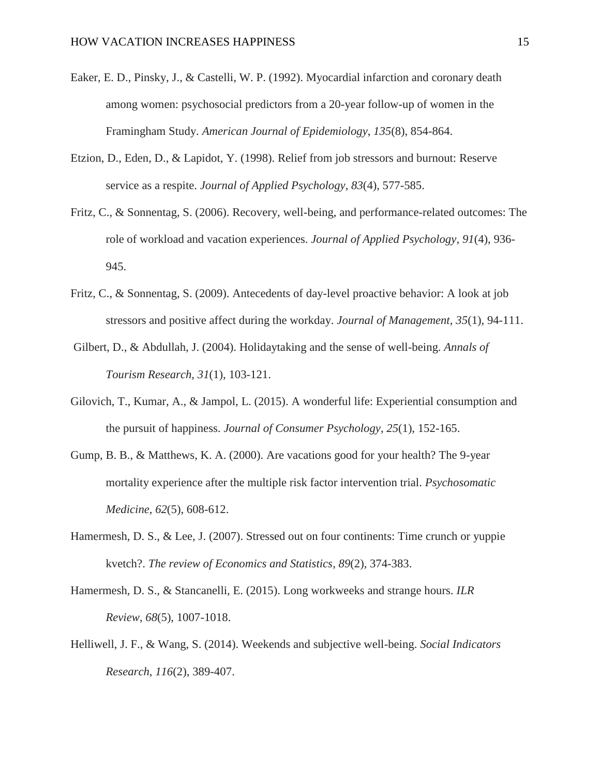- Eaker, E. D., Pinsky, J., & Castelli, W. P. (1992). Myocardial infarction and coronary death among women: psychosocial predictors from a 20-year follow-up of women in the Framingham Study. *American Journal of Epidemiology*, *135*(8), 854-864.
- Etzion, D., Eden, D., & Lapidot, Y. (1998). Relief from job stressors and burnout: Reserve service as a respite. *Journal of Applied Psychology*, *83*(4), 577-585.
- Fritz, C., & Sonnentag, S. (2006). Recovery, well-being, and performance-related outcomes: The role of workload and vacation experiences. *Journal of Applied Psychology*, *91*(4), 936- 945.
- Fritz, C., & Sonnentag, S. (2009). Antecedents of day-level proactive behavior: A look at job stressors and positive affect during the workday. *Journal of Management*, *35*(1), 94-111.
- Gilbert, D., & Abdullah, J. (2004). Holidaytaking and the sense of well-being. *Annals of Tourism Research*, *31*(1), 103-121.
- Gilovich, T., Kumar, A., & Jampol, L. (2015). A wonderful life: Experiential consumption and the pursuit of happiness. *Journal of Consumer Psychology*, *25*(1), 152-165.
- Gump, B. B., & Matthews, K. A. (2000). Are vacations good for your health? The 9-year mortality experience after the multiple risk factor intervention trial. *Psychosomatic Medicine*, *62*(5), 608-612.
- Hamermesh, D. S., & Lee, J. (2007). Stressed out on four continents: Time crunch or yuppie kvetch?. *The review of Economics and Statistics*, *89*(2), 374-383.
- Hamermesh, D. S., & Stancanelli, E. (2015). Long workweeks and strange hours. *ILR Review*, *68*(5), 1007-1018.
- Helliwell, J. F., & Wang, S. (2014). Weekends and subjective well-being. *Social Indicators Research*, *116*(2), 389-407.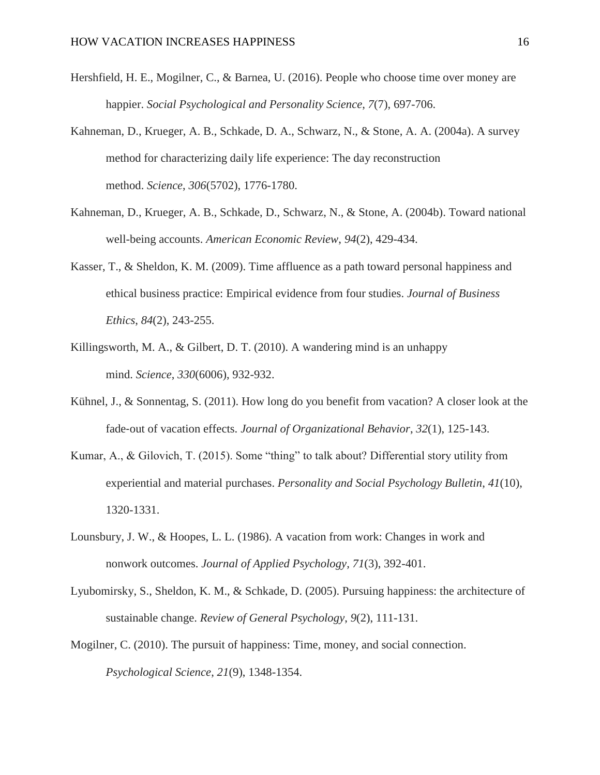- Hershfield, H. E., Mogilner, C., & Barnea, U. (2016). People who choose time over money are happier. *Social Psychological and Personality Science*, *7*(7), 697-706.
- Kahneman, D., Krueger, A. B., Schkade, D. A., Schwarz, N., & Stone, A. A. (2004a). A survey method for characterizing daily life experience: The day reconstruction method. *Science*, *306*(5702), 1776-1780.
- Kahneman, D., Krueger, A. B., Schkade, D., Schwarz, N., & Stone, A. (2004b). Toward national well-being accounts. *American Economic Review*, *94*(2), 429-434.
- Kasser, T., & Sheldon, K. M. (2009). Time affluence as a path toward personal happiness and ethical business practice: Empirical evidence from four studies. *Journal of Business Ethics*, *84*(2), 243-255.
- Killingsworth, M. A., & Gilbert, D. T. (2010). A wandering mind is an unhappy mind. *Science*, *330*(6006), 932-932.
- Kühnel, J., & Sonnentag, S. (2011). How long do you benefit from vacation? A closer look at the fade‐out of vacation effects. *Journal of Organizational Behavior*, *32*(1), 125-143.
- Kumar, A., & Gilovich, T. (2015). Some "thing" to talk about? Differential story utility from experiential and material purchases. *Personality and Social Psychology Bulletin*, *41*(10), 1320-1331.
- Lounsbury, J. W., & Hoopes, L. L. (1986). A vacation from work: Changes in work and nonwork outcomes. *Journal of Applied Psychology, 71*(3), 392-401.
- Lyubomirsky, S., Sheldon, K. M., & Schkade, D. (2005). Pursuing happiness: the architecture of sustainable change. *Review of General Psychology*, *9*(2), 111-131.
- Mogilner, C. (2010). The pursuit of happiness: Time, money, and social connection. *Psychological Science*, *21*(9), 1348-1354.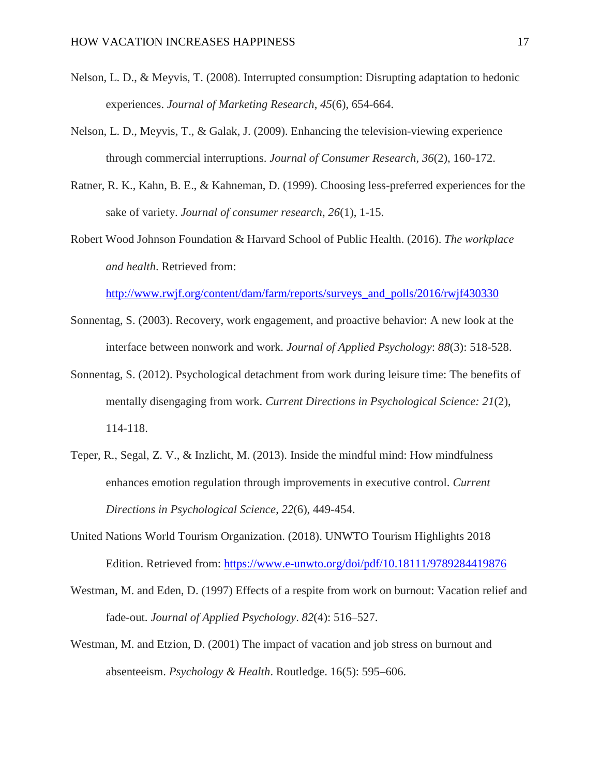- Nelson, L. D., & Meyvis, T. (2008). Interrupted consumption: Disrupting adaptation to hedonic experiences. *Journal of Marketing Research*, *45*(6), 654-664.
- Nelson, L. D., Meyvis, T., & Galak, J. (2009). Enhancing the television-viewing experience through commercial interruptions. *Journal of Consumer Research*, *36*(2), 160-172.
- Ratner, R. K., Kahn, B. E., & Kahneman, D. (1999). Choosing less-preferred experiences for the sake of variety. *Journal of consumer research*, *26*(1), 1-15.
- Robert Wood Johnson Foundation & Harvard School of Public Health. (2016). *The workplace and health*. Retrieved from:

[http://www.rwjf.org/content/dam/farm/reports/surveys\\_and\\_polls/2016/rwjf430330](http://www.rwjf.org/content/dam/farm/reports/surveys_and_polls/2016/rwjf430330)

- Sonnentag, S. (2003). Recovery, work engagement, and proactive behavior: A new look at the interface between nonwork and work. *Journal of Applied Psychology*: *88*(3): 518-528.
- Sonnentag, S. (2012). Psychological detachment from work during leisure time: The benefits of mentally disengaging from work. *Current Directions in Psychological Science: 21*(2), 114-118.
- Teper, R., Segal, Z. V., & Inzlicht, M. (2013). Inside the mindful mind: How mindfulness enhances emotion regulation through improvements in executive control. *Current Directions in Psychological Science*, *22*(6), 449-454.
- United Nations World Tourism Organization. (2018). UNWTO Tourism Highlights 2018 Edition. Retrieved from:<https://www.e-unwto.org/doi/pdf/10.18111/9789284419876>
- Westman, M. and Eden, D. (1997) Effects of a respite from work on burnout: Vacation relief and fade-out. *Journal of Applied Psychology*. *82*(4): 516–527.
- Westman, M. and Etzion, D. (2001) The impact of vacation and job stress on burnout and absenteeism. *Psychology & Health*. Routledge. 16(5): 595–606.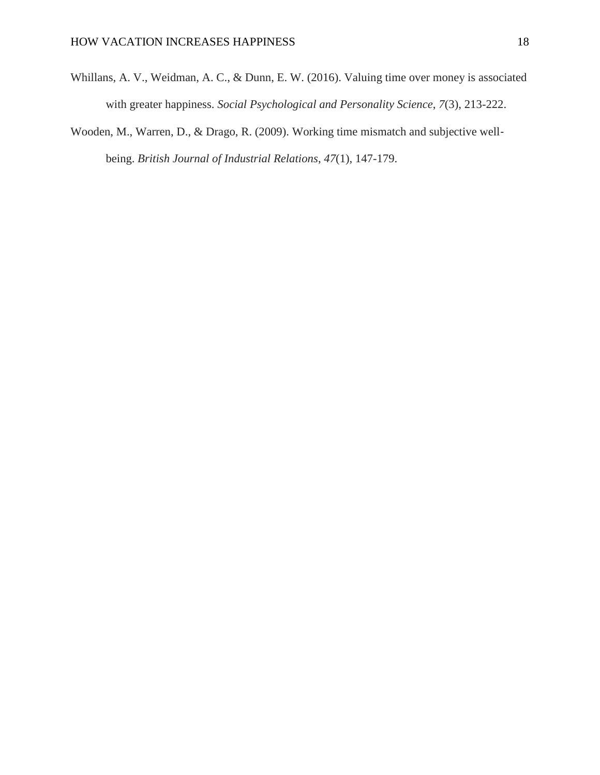- Whillans, A. V., Weidman, A. C., & Dunn, E. W. (2016). Valuing time over money is associated with greater happiness. *Social Psychological and Personality Science*, *7*(3), 213-222.
- Wooden, M., Warren, D., & Drago, R. (2009). Working time mismatch and subjective wellbeing. *British Journal of Industrial Relations*, *47*(1), 147-179.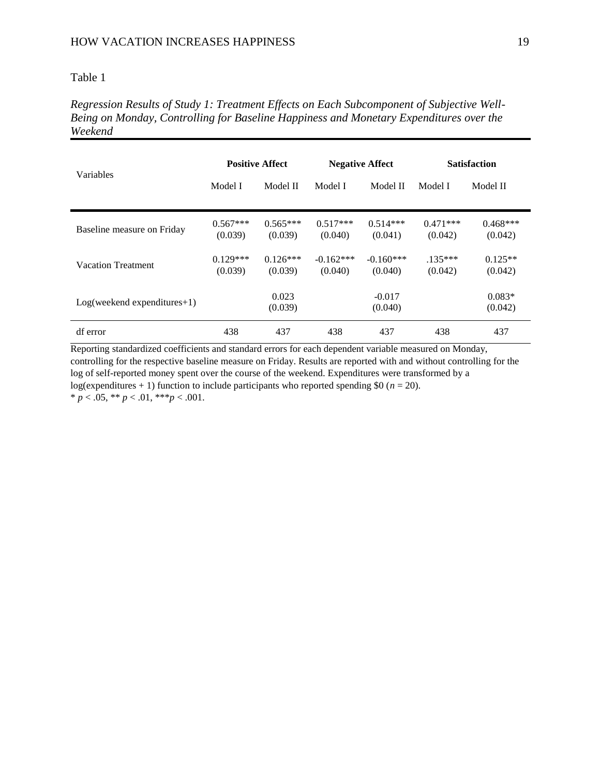*Regression Results of Study 1: Treatment Effects on Each Subcomponent of Subjective Well-Being on Monday, Controlling for Baseline Happiness and Monetary Expenditures over the Weekend*

| Variables                     | <b>Positive Affect</b> |                       | <b>Negative Affect</b> |                        | <b>Satisfaction</b>   |                       |
|-------------------------------|------------------------|-----------------------|------------------------|------------------------|-----------------------|-----------------------|
|                               | Model I                | Model II              | Model I                | Model II               | Model I               | Model II              |
| Baseline measure on Friday    | $0.567***$<br>(0.039)  | $0.565***$<br>(0.039) | $0.517***$<br>(0.040)  | $0.514***$<br>(0.041)  | $0.471***$<br>(0.042) | $0.468***$<br>(0.042) |
| <b>Vacation Treatment</b>     | $0.129***$<br>(0.039)  | $0.126***$<br>(0.039) | $-0.162***$<br>(0.040) | $-0.160***$<br>(0.040) | $.135***$<br>(0.042)  | $0.125**$<br>(0.042)  |
| $Log(weekend exponentures+1)$ |                        | 0.023<br>(0.039)      |                        | $-0.017$<br>(0.040)    |                       | $0.083*$<br>(0.042)   |
| df error                      | 438                    | 437                   | 438                    | 437                    | 438                   | 437                   |

Reporting standardized coefficients and standard errors for each dependent variable measured on Monday, controlling for the respective baseline measure on Friday. Results are reported with and without controlling for the log of self-reported money spent over the course of the weekend. Expenditures were transformed by a log(expenditures  $+ 1$ ) function to include participants who reported spending \$0 ( $n = 20$ ). \*  $p < .05$ , \*\*  $p < .01$ , \*\*\*  $p < .001$ .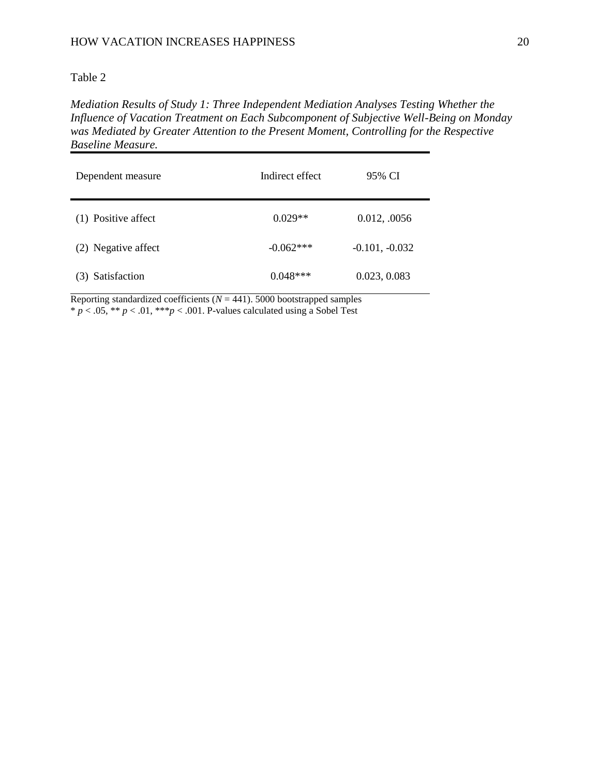*Mediation Results of Study 1: Three Independent Mediation Analyses Testing Whether the Influence of Vacation Treatment on Each Subcomponent of Subjective Well-Being on Monday was Mediated by Greater Attention to the Present Moment, Controlling for the Respective Baseline Measure.* 

| Dependent measure   | Indirect effect | 95% CI           |
|---------------------|-----------------|------------------|
| (1) Positive affect | $0.029**$       | 0.012, .0056     |
| (2) Negative affect | $-0.062***$     | $-0.101, -0.032$ |
| (3) Satisfaction    | $0.048***$      | 0.023, 0.083     |

Reporting standardized coefficients  $(N = 441)$ . 5000 bootstrapped samples \* *p* < .05, \*\* *p* < .01, \*\*\**p* < .001. P-values calculated using a Sobel Test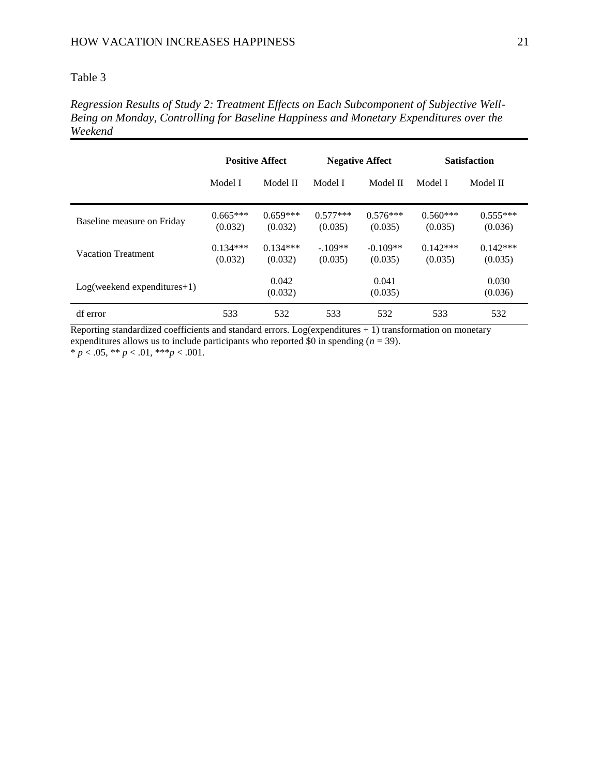*Regression Results of Study 2: Treatment Effects on Each Subcomponent of Subjective Well-Being on Monday, Controlling for Baseline Happiness and Monetary Expenditures over the Weekend*

|                               | <b>Positive Affect</b> |                       | <b>Negative Affect</b> |                       | <b>Satisfaction</b>   |                       |
|-------------------------------|------------------------|-----------------------|------------------------|-----------------------|-----------------------|-----------------------|
|                               | Model I                | Model II              | Model I                | Model II              | Model I               | Model II              |
| Baseline measure on Friday    | $0.665***$<br>(0.032)  | $0.659***$<br>(0.032) | $0.577***$<br>(0.035)  | $0.576***$<br>(0.035) | $0.560***$<br>(0.035) | $0.555***$<br>(0.036) |
| <b>Vacation Treatment</b>     | $0.134***$<br>(0.032)  | $0.134***$<br>(0.032) | $-109**$<br>(0.035)    | $-0.109**$<br>(0.035) | $0.142***$<br>(0.035) | $0.142***$<br>(0.035) |
| $Log(weekend exponentures+1)$ |                        | 0.042<br>(0.032)      |                        | 0.041<br>(0.035)      |                       | 0.030<br>(0.036)      |
| df error                      | 533                    | 532                   | 533                    | 532                   | 533                   | 532                   |

Reporting standardized coefficients and standard errors. Log(expenditures  $+ 1$ ) transformation on monetary expenditures allows us to include participants who reported  $\$0$  in spending ( $n = 39$ ).

 $* p < .05, ** p < .01, ** p < .001.$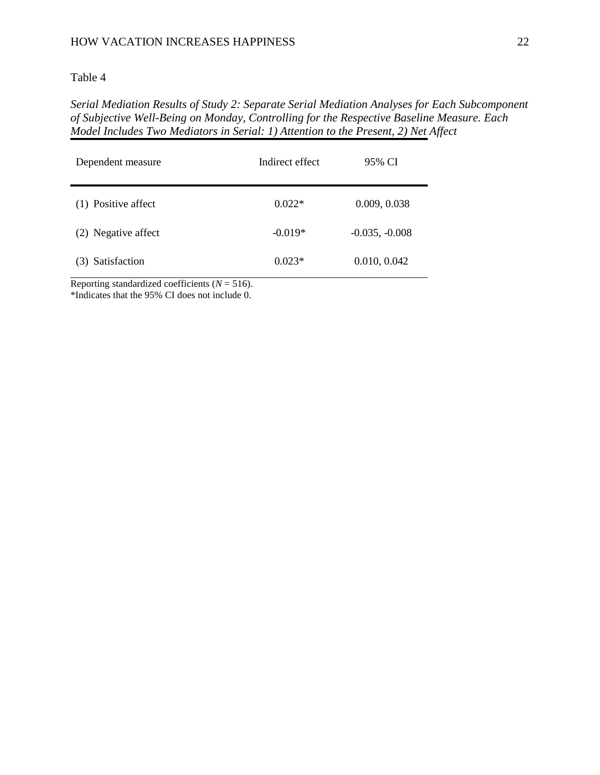### HOW VACATION INCREASES HAPPINESS 22

### Table 4

*Serial Mediation Results of Study 2: Separate Serial Mediation Analyses for Each Subcomponent of Subjective Well-Being on Monday, Controlling for the Respective Baseline Measure. Each Model Includes Two Mediators in Serial: 1) Attention to the Present, 2) Net Affect*

| Dependent measure   | Indirect effect | 95% CI           |
|---------------------|-----------------|------------------|
| (1) Positive affect | $0.022*$        | 0.009, 0.038     |
| (2) Negative affect | $-0.019*$       | $-0.035, -0.008$ |
| (3) Satisfaction    | $0.023*$        | 0.010, 0.042     |

Reporting standardized coefficients (*N* = 516).

\*Indicates that the 95% CI does not include 0.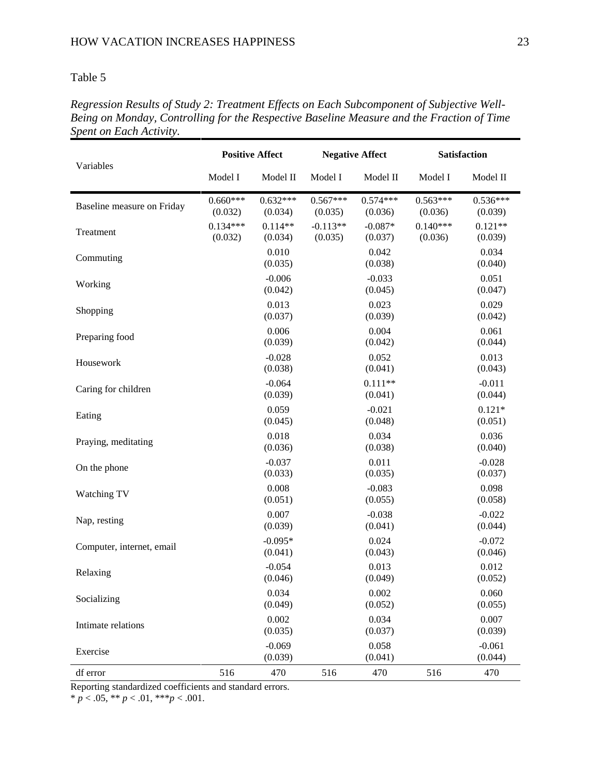| Variables                  | <b>Positive Affect</b> |                       | <b>Negative Affect</b> |                       | Satisfaction          |                       |
|----------------------------|------------------------|-----------------------|------------------------|-----------------------|-----------------------|-----------------------|
|                            | Model I                | Model II              | Model I                | Model II              | Model I               | Model II              |
| Baseline measure on Friday | $0.660***$<br>(0.032)  | $0.632***$<br>(0.034) | $0.567***$<br>(0.035)  | $0.574***$<br>(0.036) | $0.563***$<br>(0.036) | $0.536***$<br>(0.039) |
| Treatment                  | $0.134***$<br>(0.032)  | $0.114**$<br>(0.034)  | $-0.113**$<br>(0.035)  | $-0.087*$<br>(0.037)  | $0.140***$<br>(0.036) | $0.121**$<br>(0.039)  |
| Commuting                  |                        | 0.010<br>(0.035)      |                        | 0.042<br>(0.038)      |                       | 0.034<br>(0.040)      |
| Working                    |                        | $-0.006$<br>(0.042)   |                        | $-0.033$<br>(0.045)   |                       | 0.051<br>(0.047)      |
| Shopping                   |                        | 0.013<br>(0.037)      |                        | 0.023<br>(0.039)      |                       | 0.029<br>(0.042)      |
| Preparing food             |                        | 0.006<br>(0.039)      |                        | 0.004<br>(0.042)      |                       | 0.061<br>(0.044)      |
| Housework                  |                        | $-0.028$<br>(0.038)   |                        | 0.052<br>(0.041)      |                       | 0.013<br>(0.043)      |
| Caring for children        |                        | $-0.064$<br>(0.039)   |                        | $0.111**$<br>(0.041)  |                       | $-0.011$<br>(0.044)   |
| Eating                     |                        | 0.059<br>(0.045)      |                        | $-0.021$<br>(0.048)   |                       | $0.121*$<br>(0.051)   |
| Praying, meditating        |                        | 0.018<br>(0.036)      |                        | 0.034<br>(0.038)      |                       | 0.036<br>(0.040)      |
| On the phone               |                        | $-0.037$<br>(0.033)   |                        | 0.011<br>(0.035)      |                       | $-0.028$<br>(0.037)   |
| Watching TV                |                        | 0.008<br>(0.051)      |                        | $-0.083$<br>(0.055)   |                       | 0.098<br>(0.058)      |
| Nap, resting               |                        | 0.007<br>(0.039)      |                        | $-0.038$<br>(0.041)   |                       | $-0.022$<br>(0.044)   |
| Computer, internet, email  |                        | $-0.095*$<br>(0.041)  |                        | 0.024<br>(0.043)      |                       | $-0.072$<br>(0.046)   |
| Relaxing                   |                        | $-0.054$<br>(0.046)   |                        | 0.013<br>(0.049)      |                       | 0.012<br>(0.052)      |
| Socializing                |                        | 0.034<br>(0.049)      |                        | 0.002<br>(0.052)      |                       | 0.060<br>(0.055)      |
| Intimate relations         |                        | 0.002<br>(0.035)      |                        | 0.034<br>(0.037)      |                       | 0.007<br>(0.039)      |
| Exercise                   |                        | $-0.069$<br>(0.039)   |                        | 0.058<br>(0.041)      |                       | $-0.061$<br>(0.044)   |
| df error                   | 516                    | 470                   | 516                    | 470                   | 516                   | 470                   |

*Regression Results of Study 2: Treatment Effects on Each Subcomponent of Subjective Well-Being on Monday, Controlling for the Respective Baseline Measure and the Fraction of Time Spent on Each Activity.*

Reporting standardized coefficients and standard errors.

\*  $p < .05$ , \*\*  $p < .01$ , \*\*\* $p < .001$ .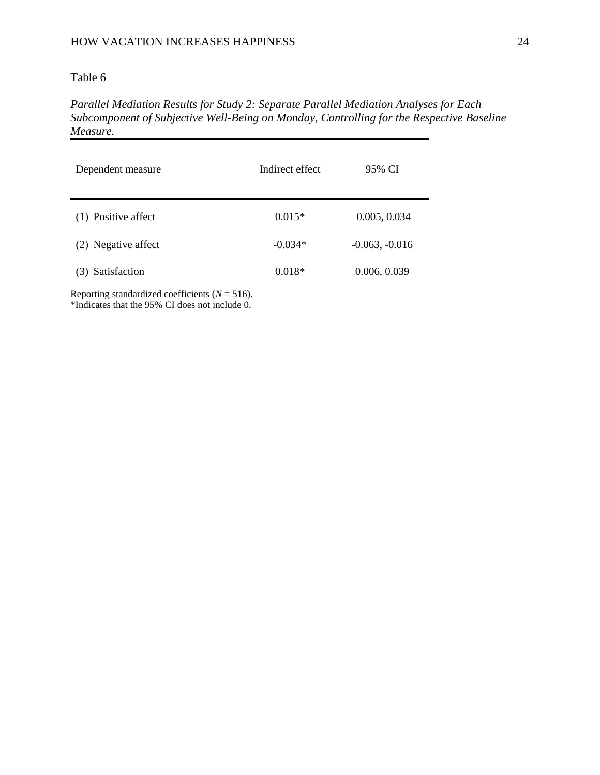*Parallel Mediation Results for Study 2: Separate Parallel Mediation Analyses for Each Subcomponent of Subjective Well-Being on Monday, Controlling for the Respective Baseline Measure.*

| Dependent measure   | Indirect effect | 95% CI           |
|---------------------|-----------------|------------------|
| (1) Positive affect | $0.015*$        | 0.005, 0.034     |
| (2) Negative affect | $-0.034*$       | $-0.063, -0.016$ |
| (3) Satisfaction    | $0.018*$        | 0.006, 0.039     |

Reporting standardized coefficients  $(N = 516)$ . \*Indicates that the 95% CI does not include 0.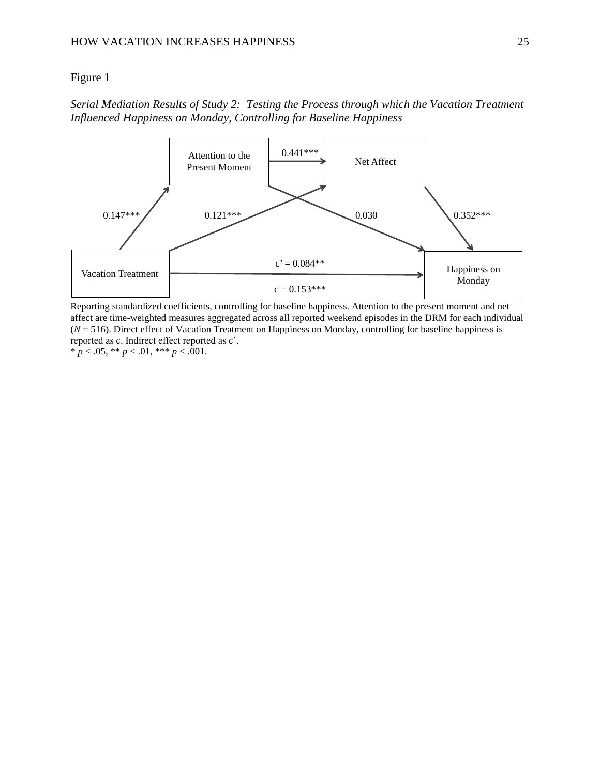## Figure 1

# *Serial Mediation Results of Study 2: Testing the Process through which the Vacation Treatment Influenced Happiness on Monday, Controlling for Baseline Happiness*



Reporting standardized coefficients, controlling for baseline happiness. Attention to the present moment and net affect are time-weighted measures aggregated across all reported weekend episodes in the DRM for each individual (*N* = 516). Direct effect of Vacation Treatment on Happiness on Monday, controlling for baseline happiness is reported as c. Indirect effect reported as c'.

 $* p < .05, ** p < .01, ** p < .001.$